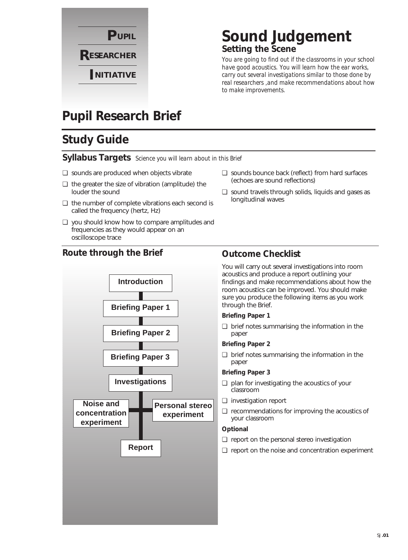

### **Sound Judgement Setting the Scene**

*You are going to find out if the classrooms in your school have good acoustics. You will learn how the ear works, carry out several investigations similar to those done by real researchers ,and make recommendations about how to make improvements.*

### **Pupil Research Brief**

### **Study Guide**

**Syllabus Targets** *Science you will learn about in this Brief*

- ❏ sounds are produced when objects vibrate
- ❏ the greater the size of vibration (amplitude) the louder the sound
- ❏ the number of complete vibrations each second is called the frequency (hertz, Hz)
- ❏ you should know how to compare amplitudes and frequencies as they would appear on an oscilloscope trace

### **Route through the Brief Outcome Checklist**



#### ❏ sounds bounce back (reflect) from hard surfaces (echoes are sound reflections)

❏ sound travels through solids, liquids and gases as longitudinal waves

You will carry out several investigations into room acoustics and produce a report outlining your findings and make recommendations about how the room acoustics can be improved. You should make sure you produce the following items as you work through the Brief.

### **Briefing Paper 1**

❏ brief notes summarising the information in the paper

#### **Briefing Paper 2**

❏ brief notes summarising the information in the paper

#### **Briefing Paper 3**

- ❏ plan for investigating the acoustics of your classroom
- ❏ investigation report
- ❏ recommendations for improving the acoustics of your classroom

### **Optional**

- ❏ report on the personal stereo investigation
- ❏ report on the noise and concentration experiment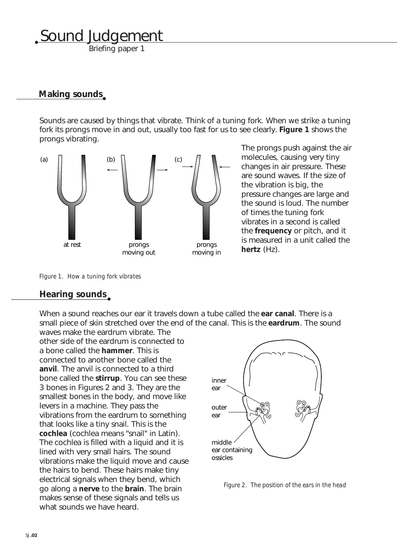Briefing paper 1

### **Making sounds**

Sounds are caused by things that vibrate. Think of a tuning fork. When we strike a tuning fork its prongs move in and out, usually too fast for us to see clearly. **Figure 1** shows the prongs vibrating.



The prongs push against the air molecules, causing very tiny changes in air pressure. These are sound waves. If the size of the vibration is big, the pressure changes are large and the sound is loud. The number of times the tuning fork vibrates in a second is called the **frequency** or pitch, and it is measured in a unit called the **hertz** (Hz).

*FIgure 1. How a tuning fork vibrates*

### **Hearing sounds**

When a sound reaches our ear it travels down a tube called the **ear canal**. There is a small piece of skin stretched over the end of the canal. This is the **eardrum**. The sound waves make the eardrum vibrate. The

other side of the eardrum is connected to a bone called the **hammer**. This is connected to another bone called the **anvil**. The anvil is connected to a third bone called the **stirrup**. You can see these 3 bones in Figures 2 and 3. They are the smallest bones in the body, and move like levers in a machine. They pass the vibrations from the eardrum to something that looks like a tiny snail. This is the **cochlea** (cochlea means "snail" in Latin). The cochlea is filled with a liquid and it is lined with very small hairs. The sound vibrations make the liquid move and cause the hairs to bend. These hairs make tiny electrical signals when they bend, which go along a **nerve** to the **brain**. The brain makes sense of these signals and tells us what sounds we have heard.



*Figure 2. The position of the ears in the head*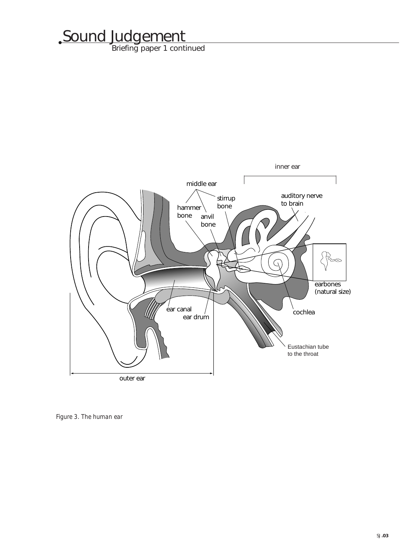Briefing paper 1 continued



*Figure 3. The human ear*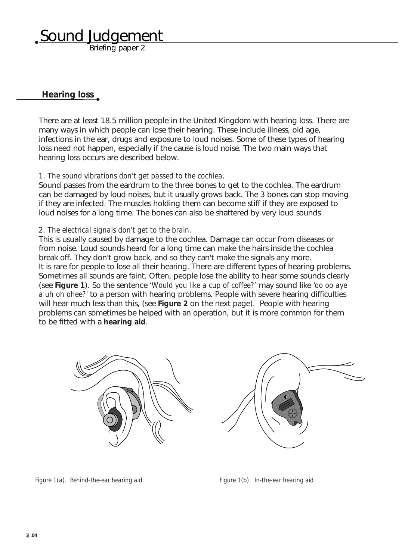Briefing paper 2

### **Hearing loss**

There are at least 18.5 million people in the United Kingdom with hearing loss. There are many ways in which people can lose their hearing. These include illness, old age, infections in the ear, drugs and exposure to loud noises. Some of these types of hearing loss need not happen, especially if the cause is loud noise. The two main ways that hearing loss occurs are described below.

### *1. The sound vibrations don't get passed to the cochlea.*

Sound passes from the eardrum to the three bones to get to the cochlea. The eardrum can be damaged by loud noises, but it usually grows back. The 3 bones can stop moving if they are infected. The muscles holding them can become stiff if they are exposed to loud noises for a long time. The bones can also be shattered by very loud sounds

### *2. The electrical signals don't get to the brain.*

This is usually caused by damage to the cochlea. Damage can occur from diseases or from noise. Loud sounds heard for a long time can make the hairs inside the cochlea break off. They don't grow back, and so they can't make the signals any more. It is rare for people to lose all their hearing. There are different types of hearing problems. Sometimes all sounds are faint. Often, people lose the ability to hear some sounds clearly (see **Figure 1**). So the sentence '*Would you like a cup of coffee?'* may sound like '*oo oo aye a uh oh ohee?*' to a person with hearing problems. People with severe hearing difficulties will hear much less than this, (see **Figure 2** on the next page). People with hearing problems can sometimes be helped with an operation, but it is more common for them to be fitted with a **hearing aid**.



*Figure 1(a). Behind-the-ear hearing aid Figure 1(b). In-the-ear hearing aid*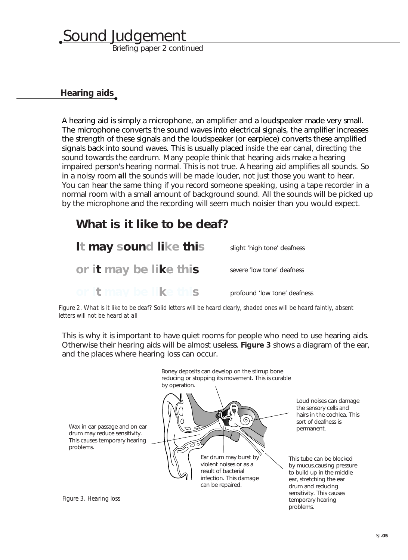Briefing paper 2 continued

### **Hearing aids**

A hearing aid is simply a microphone, an amplifier and a loudspeaker made very small. The microphone converts the sound waves into electrical signals, the amplifier increases the strength of these signals and the loudspeaker (or earpiece) converts these amplified signals back into sound waves. This is usually placed *inside* the ear canal, directing the sound towards the eardrum. Many people think that hearing aids make a hearing impaired person's hearing normal. This is not true. A hearing aid amplifies all sounds. So in a noisy room **all** the sounds will be made louder, not just those you want to hear. You can hear the same thing if you record someone speaking, using a tape recorder in a normal room with a small amount of background sound. All the sounds will be picked up by the microphone and the recording will seem much noisier than you would expect.

### **What is it like to be deaf?**

**It may sound like this or it may be like this or it may be like this** slight 'high tone' deafness severe 'low tone' deafness profound 'low tone' deafness

*Figure 2. What is it like to be deaf? Solid letters will be heard clearly, shaded ones will be heard faintly, absent letters will not be heard at all*

This is why it is important to have quiet rooms for people who need to use hearing aids. Otherwise their hearing aids will be almost useless. **Figure 3** shows a diagram of the ear, and the places where hearing loss can occur.



*Figure 3. Hearing loss*

problems.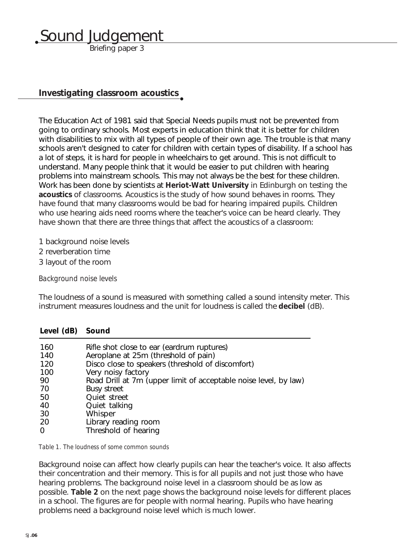Briefing paper 3

### **Investigating classroom acoustics**

The Education Act of 1981 said that Special Needs pupils must not be prevented from going to ordinary schools. Most experts in education think that it is better for children with disabilities to mix with all types of people of their own age. The trouble is that many schools aren't designed to cater for children with certain types of disability. If a school has a lot of steps, it is hard for people in wheelchairs to get around. This is not difficult to understand. Many people think that it would be easier to put children with hearing problems into mainstream schools. This may not always be the best for these children. Work has been done by scientists at **Heriot-Watt University** in Edinburgh on testing the **acoustics** of classrooms. Acoustics is the study of how sound behaves in rooms. They have found that many classrooms would be bad for hearing impaired pupils. Children who use hearing aids need rooms where the teacher's voice can be heard clearly. They have shown that there are three things that affect the acoustics of a classroom:

1 background noise levels

- 2 reverberation time
- 3 layout of the room

**Level (dB) Sound**

*Background noise levels*

The loudness of a sound is measured with something called a sound intensity meter. This instrument measures loudness and the unit for loudness is called the **decibel** (dB).

| Rifle shot close to ear (eardrum ruptures)                       |
|------------------------------------------------------------------|
| Aeroplane at 25m (threshold of pain)                             |
| Disco close to speakers (threshold of discomfort)                |
| Very noisy factory                                               |
| Road Drill at 7m (upper limit of acceptable noise level, by law) |
| <b>Busy street</b>                                               |
| Quiet street                                                     |
| Quiet talking                                                    |
| Whisper                                                          |
| Library reading room                                             |
| Threshold of hearing                                             |
|                                                                  |

*Table 1. The loudness of some common sounds*

Background noise can affect how clearly pupils can hear the teacher's voice. It also affects their concentration and their memory. This is for all pupils and not just those who have hearing problems. The background noise level in a classroom should be as low as possible. **Table 2** on the next page shows the background noise levels for different places in a school. The figures are for people with normal hearing. Pupils who have hearing problems need a background noise level which is much lower.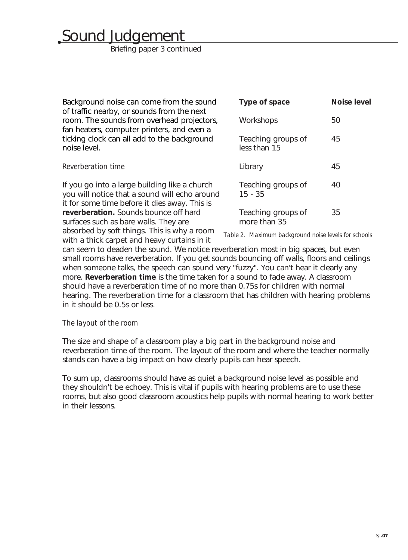Briefing paper 3 continued

| Background noise can come from the sound<br>of traffic nearby, or sounds from the next<br>room. The sounds from overhead projectors,<br>fan heaters, computer printers, and even a<br>ticking clock can all add to the background<br>noise level. | Type of space                                        | <b>Noise level</b> |
|---------------------------------------------------------------------------------------------------------------------------------------------------------------------------------------------------------------------------------------------------|------------------------------------------------------|--------------------|
|                                                                                                                                                                                                                                                   | Workshops                                            | 50                 |
|                                                                                                                                                                                                                                                   | Teaching groups of<br>less than 15                   | 45                 |
| Reverberation time                                                                                                                                                                                                                                | Library                                              | 45                 |
| If you go into a large building like a church<br>you will notice that a sound will echo around<br>it for some time before it dies away. This is                                                                                                   | Teaching groups of<br>$15 - 35$                      | 40                 |
| reverberation. Sounds bounce off hard<br>surfaces such as bare walls. They are                                                                                                                                                                    | Teaching groups of<br>more than 35                   | 35                 |
| absorbed by soft things. This is why a room                                                                                                                                                                                                       | Table 2. Maximum background noise levels for schools |                    |

with a thick carpet and heavy curtains in it can seem to deaden the sound. We notice reverberation most in big spaces, but even small rooms have reverberation. If you get sounds bouncing off walls, floors and ceilings when someone talks, the speech can sound very "fuzzy". You can't hear it clearly any more. **Reverberation time** is the time taken for a sound to fade away. A classroom should have a reverberation time of no more than 0.75s for children with normal hearing. The reverberation time for a classroom that has children with hearing problems in it should be 0.5s or less.

### *The layout of the room*

The size and shape of a classroom play a big part in the background noise and reverberation time of the room. The layout of the room and where the teacher normally stands can have a big impact on how clearly pupils can hear speech.

To sum up, classrooms should have as quiet a background noise level as possible and they shouldn't be echoey. This is vital if pupils with hearing problems are to use these rooms, but also good classroom acoustics help pupils with normal hearing to work better in their lessons.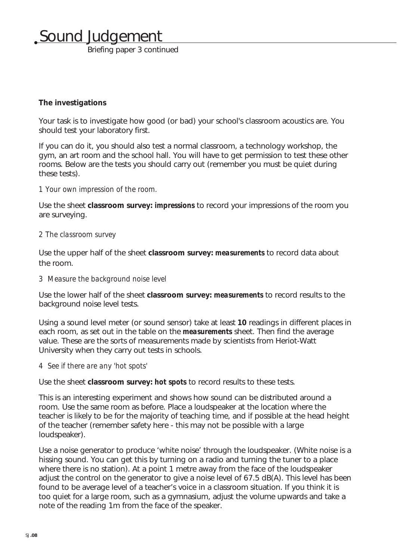Briefing paper 3 continued

### **The investigations**

Your task is to investigate how good (or bad) your school's classroom acoustics are. You should test your laboratory first.

If you can do it, you should also test a normal classroom, a technology workshop, the gym, an art room and the school hall. You will have to get permission to test these other rooms. Below are the tests you should carry out (remember you must be quiet during these tests).

### *1 Your own impression of the room.*

Use the sheet **classroom survey:** *impressions* to record your impressions of the room you are surveying.

#### *2 The classroom survey*

Use the upper half of the sheet **classroom survey:** *measurements* to record data about the room.

#### *3 Measure the background noise level*

Use the lower half of the sheet **classroom survey:** *measurements* to record results to the background noise level tests.

Using a sound level meter (or sound sensor) take at least **10** readings in different places in each room, as set out in the table on the *measurements* sheet. Then find the average value. These are the sorts of measurements made by scientists from Heriot-Watt University when they carry out tests in schools.

### *4 See if there are any 'hot spots'*

Use the sheet **classroom survey:** *hot spots* to record results to these tests.

This is an interesting experiment and shows how sound can be distributed around a room. Use the same room as before. Place a loudspeaker at the location where the teacher is likely to be for the majority of teaching time, and if possible at the head height of the teacher (remember safety here - this may not be possible with a large loudspeaker).

Use a noise generator to produce 'white noise' through the loudspeaker. (White noise is a hissing sound. You can get this by turning on a radio and turning the tuner to a place where there is no station). At a point 1 metre away from the face of the loudspeaker adjust the control on the generator to give a noise level of 67.5 dB(A). This level has been found to be average level of a teacher's voice in a classroom situation. If you think it is too quiet for a large room, such as a gymnasium, adjust the volume upwards and take a note of the reading 1m from the face of the speaker.